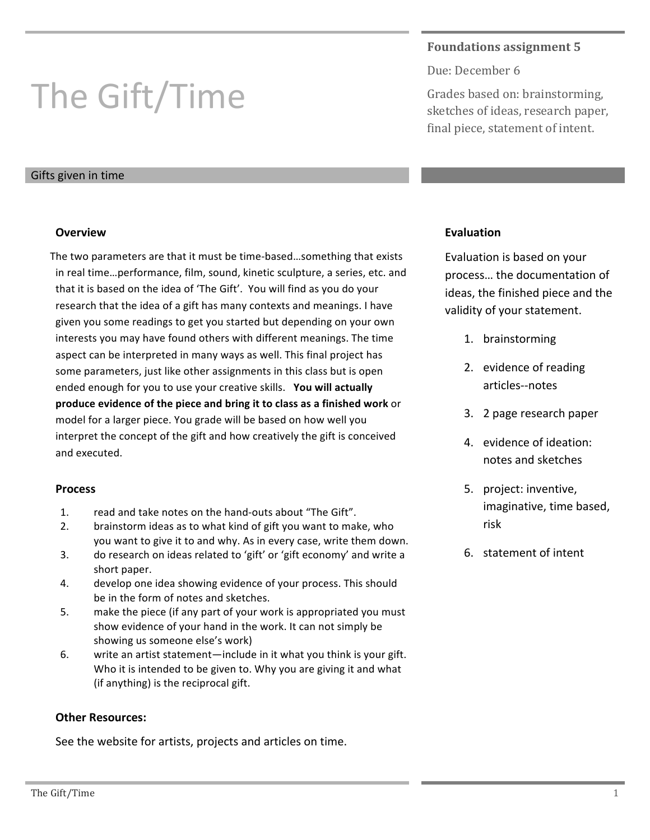# The Gift/Time

## Gifts given in time

## **Overview**

The two parameters are that it must be time-based...something that exists in real time...performance, film, sound, kinetic sculpture, a series, etc. and that it is based on the idea of 'The Gift'. You will find as you do your research that the idea of a gift has many contexts and meanings. I have given you some readings to get you started but depending on your own interests you may have found others with different meanings. The time aspect can be interpreted in many ways as well. This final project has some parameters, just like other assignments in this class but is open ended enough for you to use your creative skills. You will actually **produce evidence of the piece and bring it to class as a finished work** or model for a larger piece. You grade will be based on how well you interpret the concept of the gift and how creatively the gift is conceived and executed.

#### **Process**

- 1. read and take notes on the hand-outs about "The Gift".
- 2. brainstorm ideas as to what kind of gift you want to make, who you want to give it to and why. As in every case, write them down.
- 3. do research on ideas related to 'gift' or 'gift economy' and write a short paper.
- 4. develop one idea showing evidence of your process. This should be in the form of notes and sketches.
- 5. make the piece (if any part of your work is appropriated you must show evidence of your hand in the work. It can not simply be showing us someone else's work)
- 6. write an artist statement—include in it what you think is your gift. Who it is intended to be given to. Why you are giving it and what (if anything) is the reciprocal gift.

# **Other Resources:**

See the website for artists, projects and articles on time.

# **Foundations assignment 5**

Due: December 6

Grades based on: brainstorming, sketches of ideas, research paper, final piece, statement of intent.

# **Evaluation**

Evaluation is based on your process... the documentation of ideas, the finished piece and the validity of your statement.

- 1. brainstorming
- 2. evidence of reading articles--notes
- 3. 2 page research paper
- 4. evidence of ideation: notes and sketches
- 5. project: inventive, imaginative, time based, risk
- 6. statement of intent